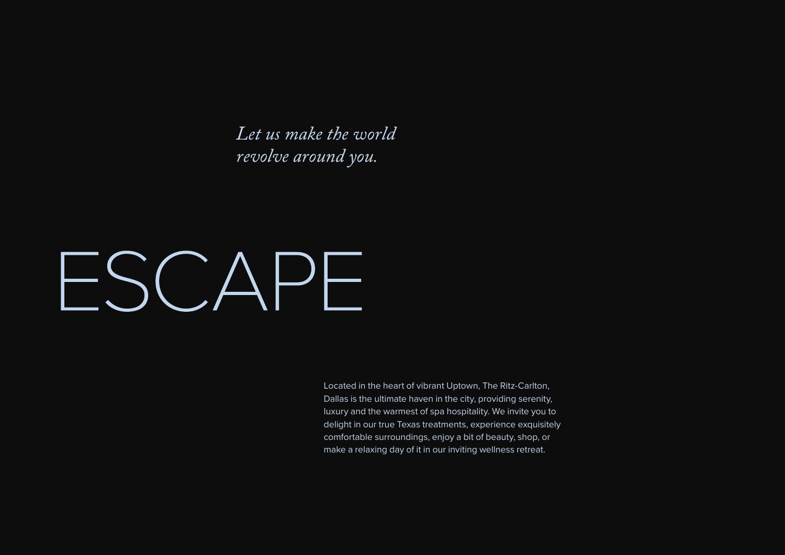Let us make the world revolve around you.

# $-SCAPF$

Located in the heart of vibrant Uptown, The Ritz-Carlton, Dallas is the ultimate haven in the city, providing serenity, luxury and the warmest of spa hospitality. We invite you to delight in our true Texas treatments, experience exquisitely comfortable surroundings, enjoy a bit of beauty, shop, or make a relaxing day of it in our inviting wellness retreat.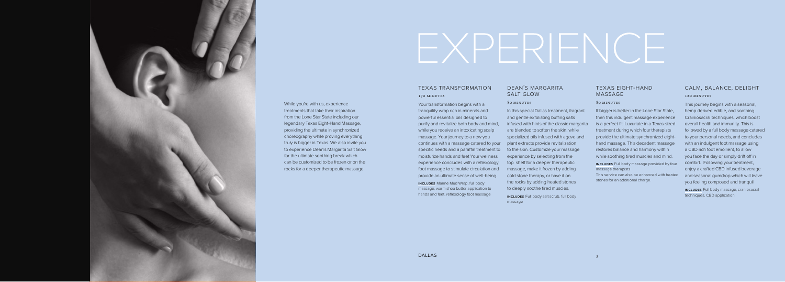# dean's margarita salt glow

#### 80 minutes

In this special Dallas treatment, fragrant and gentle exfoliating buffing salts infused with hints of the classic margarita are blended to soften the skin, while specialized oils infused with agave and plant extracts provide revitalization to the skin. Customize your massage experience by selecting from the top shelf for a deeper therapeutic massage, make it frozen by adding cold stone therapy, or have it on the rocks by adding heated stones to deeply soothe tired muscles. **includes** Full body salt scrub, full body

# texas transformation 170 MINUTES

Your transformation begins with a tranquility wrap rich in minerals and powerful essential oils designed to purify and revitalize both body and mind, while you receive an intoxicating scalp massage. Your journey to a new you continues with a massage catered to your specific needs and a paraffin treatment to moisturize hands and feet Your wellness experience concludes with a reflexology foot massage to stimulate circulation and provide an ultimate sense of well-being.

massage



While you're with us, experience treatments that take their inspiration from the Lone Star State including our legendary Texas Eight-Hand Massage, providing the ultimate in synchronized choreography while proving everything truly is bigger in Texas. We also invite you to experience Dean's Margarita Salt Glow for the ultimate soothing break which can be customized to be frozen or on the rocks for a deeper therapeutic massage.

# EXPERIENCE

**INCLUDES** Full body massage provided by four massage therapists

**includes** Marine Mud Wrap, full body massage, warm shea butter application to hands and feet, reflexology foot massage

# texas eight-hand massage

#### 80 minutes

If bigger is better in the Lone Star State, then this indulgent massage experience is a perfect fit. Luxuriate in a Texas-sized treatment during which four therapists provide the ultimate synchronized eighthand massage. This decadent massage restores balance and harmony within while soothing tired muscles and mind.

This service can also be enhanced with heated stones for an additional charge.

# calm, balance, delight 120 minutes

This journey begins with a seasonal, hemp derived edible, and soothing Crainiosacral techniques, which boost overall health and immunity. This is followed by a full body massage catered to your personal needs, and concludes with an indulgent foot massage using a CBD rich foot emollient, to allow you face the day or simply drift off in comfort. Following your treatment, enjoy a crafted CBD infused beverage and seasonal gumdrop which will leave you feeling composed and tranquil

**includes** Full body massage, craniosacral techniques, CBD application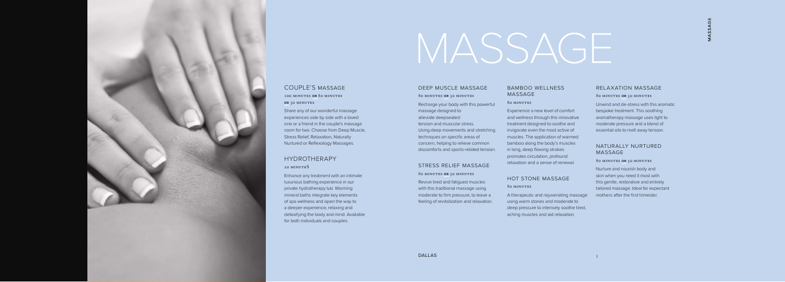# bamboo wellness massage

80 minutes

Experience a new level of comfort and wellness through this innovative treatment designed to soothe and invigorate even the most active of muscles. The application of warmed bamboo along the body's muscles in long, deep flowing strokes promotes circulation, profound relaxation and a sense of renewal.

# hot stone massage 80 minutes

A therapeutic and rejuvenating massage using warm stones and moderate to deep pressure to intensely soothe tired, aching muscles and aid relaxation.

### deep muscle massage

80 minutes **or** 50 minutes Recharge your body with this powerful massage designed to alleviate deepseated tension and muscular stress. Using deep movements and stretching techniques on specific areas of concern, helping to relieve common discomforts and sports-related tension.

100 minutes **or** 80 minutes **OR** 50 MINUTES

# stress relief massage

80 minutes **or** 50 minutes

# HYDROTHERAPY 20 MINUTES

Revive tired and fatigued muscles with this traditional massage using moderate to firm pressure, to leave a feeling of revitalization and relaxation.

# MASSAGE

# relaxation massage

#### 80 minutes **or** 50 minutes

Unwind and de-stress with this aromatic bespoke treatment. This soothing aromatherapy massage uses light to moderate pressure and a blend of essential oils to melt away tension.

# naturally nurtured massage

#### 80 minutes **or** 50 minutes

Nurture and nourish body and skin when you need it most with this gentle, restorative and entirely tailored massage. Ideal for expectant mothers after the first trimester.



# COUPLE'S massage

Share any of our wonderful massage experiences side by side with a loved one or a friend in the couple's massage room for two. Choose from Deep Muscle, Stress Relief, Relaxation, Naturally Nurtured or Reflexology Massages.

Enhance any treatment with an intimate luxurious bathing experience in our private hydrotherapy tub. Warming mineral baths integrate key elements of spa wellness and open the way to a deeper experience, relaxing and detoxifying the body and mind. Available for both individuals and couples.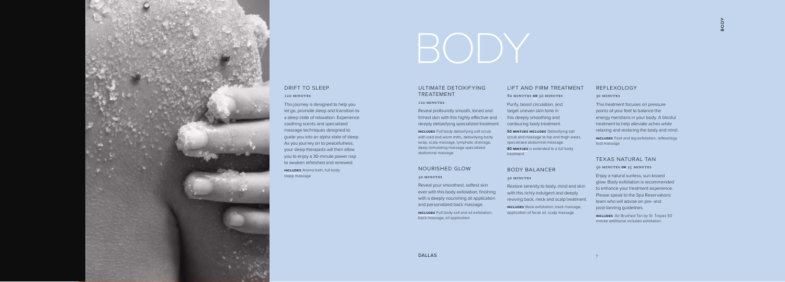# lift and firm treatment

80 minutes **or** 50 minutes

Purify, boost circulation, and target uneven skin tone in this deeply smoothing and contouring body treatment.

**50 mintues includes** Detoxifying salt scrub and massage to hip and thigh areas, specialized abdominal massage **80 mintues** is extended to a full body

Restore serenity to body, mind and skin with this richly indulgent and deeply

treatment

# body balancer

#### 50 minutes

reviving back, neck and scalp treatment.

**includes** Back exfoliation, back massage, application of facial oil, scalp massage

# ultimate detoxifying treatement

#### 110 minutes

Reveal profoundly smooth, toned and firmed skin with this highly effective and deeply detoxifying specialized treatment.

**includes** Full body detoxifying salt scrub with iced and warm mitts, detoxifying body wrap, scalp massage, lymphatic drainage, deep stimulating massage specialized abdominal massage

# nourished glow

#### 50 minutes

Reveal your smoothest, softest skin ever with this body exfoliation, finishing with a deeply nourishing oil application and personalized back massage.

**includes** Full body salt and oil exfoliation, back massage, oil application

# reflexology

#### 50 minutes

This treatment focuses on pressure points of your feet to balance the energy meridians in your body. A blissful treatment to help alleviate aches while relaxing and restoring the body and mind.

**includes** Foot and leg exfoliation, reflexology foot massage

# texas natural tan

#### 50 minutes **or** 25 minutes

Enjoy a natural sunless, sun-kissed glow. Body exfoliation is recommended to enhance your treatment experience. Please speak to the Spa Reservations team who will advise on pre- and post-tanning guidelines.

**includes** Air Brushed Tan by St. Tropez 50 minute additional includes exfoliation



# drift to sleep

#### 120 minutes

This journey is designed to help you let go, promote sleep and transition to a deep state of relaxation. Experience soothing scents and specialized massage techniques designed to guide you into an alpha state of sleep. As you journey on to peacefulness, your sleep therapists will then allow you to enjoy a 30-minute power nap to awaken refreshed and renewed.

**includes** Aroma bath, full body sleep massage

# BODY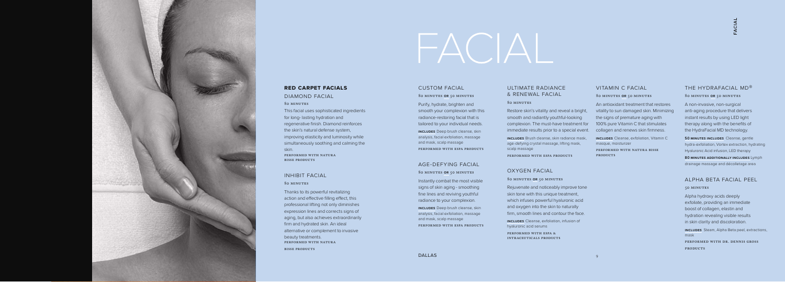#### 80 minutes **or** 50 minutes

A non-invasive, non-surgical anti-aging procedure that delivers instant results by using LED light therapy along with the benefits of the HydraFacial MD technology.

**50 MINUTES INCLUDES** Cleanse, gentle hydra-exfoliation, Vortex extraction, hydrating Hyaluronic Acid infusion, LED therapy **80 minutes additionally includes** Lymph

performed with dr. dennis gross PRODUCTS

drainage massage and décolletage area

# alpha beta facial peel

#### 50 minutes

Alpha hydroxy acids deeply exfoliate, providing an immediate boost of collagen, elastin and hydration revealing visible results in skin clarity and discoloration.

**includes** Steam, Alpha Beta peel, extractions, mask

DALLAS 9

FACIAL



#### **red carpet facials**

# diamond facial 80 minutes

This facial uses sophisticated ingredients for long- lasting hydration and regenerative finish. Diamond reinforces the skin's natural defense system, improving elasticity and luminosity while simultaneously soothing and calming the skin. performed with natura bisse products

# inhibit facial

#### 80 minutes

performed with natura bisse **PRODUCTS** 

# THE HYDRAFACIAL MD<sup>®</sup>

Thanks to its powerful revitalizing action and effective filling effect, this professional lifting not only diminishes expression lines and corrects signs of aging, but also achieves extraordinarily firm and hydrated skin. An ideal alternative or complement to invasive beauty treatments. performed with natura bisse products

# custom facial

80 minutes **or** 50 minutes

Purify, hydrate, brighten and smooth your complexion with this radiance-restoring facial that is tailored to your individual needs.

**includes** Deep brush cleanse, skin analysis, facial exfoliation, massage and mask, scalp massage performed with espa products

# age-defying facial

80 minutes **or** 50 minutes

Instantly combat the most visible signs of skin aging - smoothing fine lines and reviving youthful radiance to your complexion.

**includes** Deep brush cleanse, skin analysis, facial exfoliation, massage and mask, scalp massage performed with espa products

### vitamin c facial

#### 80 minutes **or** 50 minutes

An antioxidant treatment that restores vitality to sun damaged skin. Minimizing the signs of premature aging with 100% pure Vitamin C that stimulates collagen and renews skin firmness.

**includes** Cleanse, exfoliation, Vitamin C masque, moisturizer

# ultimate radiance & renewal facial

#### 80 minutes

Restore skin's vitality and reveal a bright, smooth and radiantly youthful-looking complexion. The must-have treatment for immediate results prior to a special event.

**includes** Brush cleanse, skin radiance mask, age-defying crystal massage, lifting mask, scalp massage

performed with espa products

# oxygen facial

#### 80 minutes **or** 50 minutes

Rejuvenate and noticeably improve tone skin tone with this unique treatment, which infuses powerful hyaluronic acid and oxygen into the skin to naturally firm, smooth lines and contour the face.

**includes** Cleanse, exfoliation, infusion of hyaluronic acid serums

performed with espa & intraceuticals products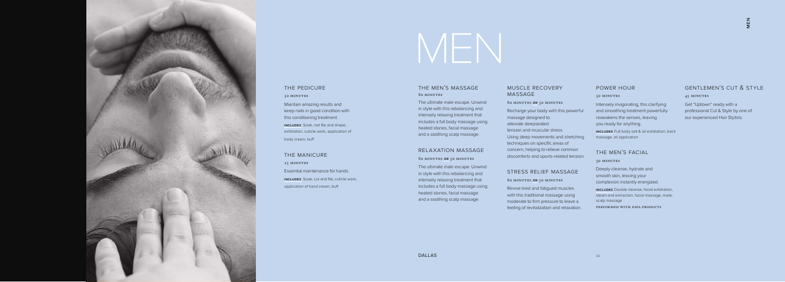# muscle recovery massage

#### 80 minutes **or** 50 minutes

Recharge your body with this powerful massage designed to alleviate deepseated tension and muscular stress. Using deep movements and stretching techniques on specific areas of concern, helping to relieve common discomforts and sports-related tension.

### stress relief massage

#### 80 minutes **or** 50 minutes

Revive tired and fatigued muscles with this traditional massage using moderate to firm pressure to leave a feeling of revitalization and relaxation.

## the men's massage 80 minutes

The ultimate male escape. Unwind in style with this rebalancing and intensely relaxing treatment that includes a full body massage using heated stones, facial massage and a soothing scalp massage.

# relaxation massage

80 minutes **or** 50 minutes

The ultimate male escape. Unwind in style with this rebalancing and intensely relaxing treatment that includes a full body massage using heated stones, facial massage and a soothing scalp massage.

## power hour

#### 50 minutes

Intensely invigorating, this clarifying and smoothing treatment powerfully reawakens the senses, leaving you ready for anything.

**includes** Full body salt & oil exfoliation, back massage, oil application

# the men's facial

#### 50 minutes

Deeply cleanse, hydrate and smooth skin, leaving your complexion instantly energized.

**includes** Double cleanse, facial exfoliation, steam and extraction, facial massage, mask, scalp massage

performed with espa products

# gentlemen's cut & style 45 minutes

Get "Uptown" ready with a professional Cut & Style by one of our experienced Hair Stylists



# the pedicure

50 minutes Maintain amazing results and keep nails in good condition with this conditioning treatment. **includes** Soak, nail file and shape, exfoliation, cuticle work, application of

body cream, buff

the manicure 25 MINUTES Essential maintenance for hands. **includes** Soak, cut and file, cuticle work, application of hand cream, buff

# MEN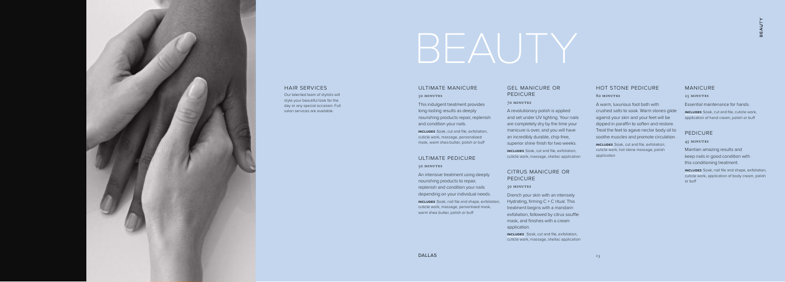# gel manicure or **PEDICURE**

#### 70 minutes

BEAUTY

A revolutionary polish is applied and set under UV lighting. Your nails are completely dry by the time your manicure is over, and you will have an incredibly durable, chip-free, superior shine finish for two weeks.

### citrus manicure or **PEDICURE**

**includes** Soak, cut and file, exfoliation, cuticle work, massage, shellac application

#### 50 minutes

Drench your skin with an intensely Hydrating, firming C + C ritual. This treatment begins with a mandarin exfoliation, followed by citrus souffle mask, and finishes with a cream application.

**includes** Soak, nail file and shape, exfoliation, cuticle work, massage, personlized mask, warm shea butter, polish or buff

**includes** Soak, cut and file, exfoliation, cuticle work, massage, shellac application

# ultimate manicure 50 minutes

This indulgent treatment provides long-lasting results as deeply nourishing products repair, replenish and condition your nails.

**includes** Soak, cut and file, cuticle work, application of hand cream, polish or buff

**includes** Soak, cut and file, exfoliation, cuticle work, massage, personalized mask, warm shea butter, polish or buff

# ultimate pedicure 50 minutes

An intensive treatment using deeply nourishing products to repair, replenish and condition your nails depending on your individual needs.

# hot stone pedicure

### 80 minutes

A warm, luxurious foot bath with crushed salts to soak. Warm stones glide against your skin and your feet will be dipped in paraffin to soften and restore. Treat the feet to agave nectar body oil to soothe muscles and promote circulation.

**includes** Soak, cut and file, exfoliation, cuticle work, hot stone massage, polish application

## manicure

#### 25 MINUTES

Essential maintenance for hands.

# pedicure

#### 45 minutes

Maintain amazing results and keep nails in good condition with this conditioning treatment.

**includes** Soak, nail file and shape, exfoliation, cuticle work, application of body cream, polish or buff



#### hair services

Our talented team of stylists will style your beautiful look for the day or any special occasion. Full salon services are available.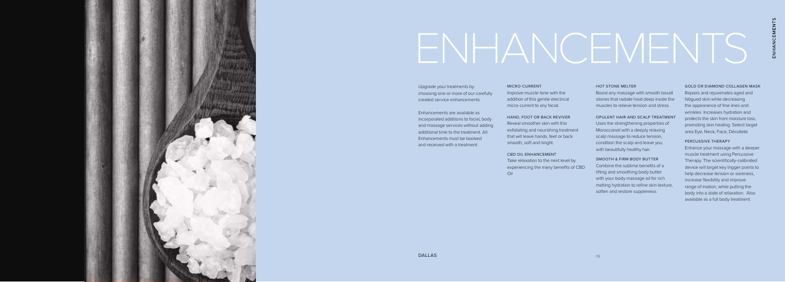### MICRO-CURRENT

Improve muscle tone with the addition of this gentle electrical micro-current to any facial.

### HAND, FOOT OR BACK REVIVER

Reveal smoother skin with this exfoliating and nourishing treatment that will leave hands, feet or back smooth, soft and bright.

#### CBD OIL ENHANCEMENT

Take relaxation to the next level by experiencing the many benefits of CBD Oil

Uses the strengthening properties of Moroccanoil with a deeply relaxing scalp massage to reduce tension, condition the scalp and leave you with beautifully healthy hair.



Upgrade your treatments by choosing one or more of our carefully created service enhancements.

Enhancements are available as incorporated additions to facial, body and massage services without adding additional time to the treatment. All Enhancements must be booked and received with a treatment.

# ENHANCEMENTS

#### HOT STONE MELTER

Boost any massage with smooth basalt stones that radiate heat deep inside the muscles to relieve tension and stress.

#### OPULENT HAIR AND SCALP TREATMENT

#### SMOOTH & FIRM BODY BUTTER

Combine the sublime benefits of a lifting and smoothing body butter with your body massage oil for rich melting hydration to refine skin texture, soften and restore suppleness.

#### GOLD OR DIAMOND COLLAGEN MASK

Repairs and rejuvenates aged and fatigued skin while decreasing the appearance of fine lines and wrinkles. Increases hydration and protects the skin from moisture loss, promoting skin healing. Select target area Eye, Neck, Face, Décolleté.

#### PERCUSSIVE THERAPY

Enhance your massage with a deeper muscle treatment using Percussive Therapy. The scientifically-calibrated device will target key trigger points to help decrease tension or soreness, increase flexibility and improve range of motion, while putting the body into a state of relaxation. Also available as a full body treatment.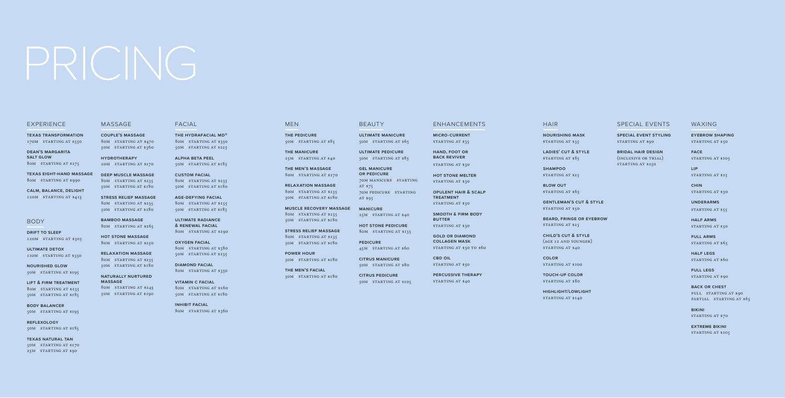# PRICING

#### **EXPERIENCE**

**the pedicure** 50m **/** starting at \$85

**the manicure** 25m **/** starting at \$40

**the men's massage** 80m **/** starting at \$270

**relaxation massage** 80m **/** starting at \$235

50m **/** starting at \$180

### **HAIR**

**texas transformation** 170M STARTING AT \$550

> **muscle recovery massage** 80m **/** starting at \$235 50m **/** starting at \$180

**stress relief massage** 80m **/** starting at \$235 50m **/** starting at \$180

**power hour** 50m **/** starting at \$180

**the men's facial** 50m **/** starting at \$180

## **BEAUTY**

**nourishing mask** starting at \$35

**dean's margarita salt glow** 80m **/** starting at \$275 **ladies' cut & style** starting at \$85

**blow out** starting at \$65

**texas eight-hand massage** 80m **/** starting at \$990

> **beard, fringe or eyebrow** starting at \$25

**calm, balance, delight** 120m **/** starting at \$415

#### **BODY**

**drift to sleep** 120m **/** starting at \$305

**ultimate detox** 110m **/** starting at \$350

**gel manicure or pedicure** 70m manicure **/** starting AT \$75 70m pedicure **/** starting AT \$95

**nourished glow** 50m **/** starting at \$195

**lift & firm treatment** 80m **/** starting at \$235 50m **/** starting at \$185

**body balancer** 50m **/** starting at \$195

**reflexology** 50m **/** starting at \$185

**texas natural tan** 50m **/** starting at \$170 25m **/** starting at \$90

**shampoo** starting at \$25

**gentleman's cut & style** starting at \$50

**micro-current** STARTING AT \$35

> **child's cut & style** (age 12 and younger) starting at \$40

**smooth & firm body butter** starting at \$30

> **color** starting at \$100

**gold or diamond collagen mask** starting at \$30 to \$60

> **touch-up color** starting at \$80

**CBD OIL** starting at \$50

> **highlight/lowlight** starting at \$140

**ultimate manicure** 50m **/** starting at \$65

**ultimate pedicure** 50m **/** starting at \$85

**manicure** 25m **/** starting at \$40

**inhibit facial** 80M / starting at \$360

# **MEN**

**hot stone pedicure** 80m **/** starting at \$135

**eyebrow shaping** starting at \$50

**face** STARTING AT \$105

**pedicure** 45m **/** starting at \$60

**chin** starting at \$30

**citrus manicure**

**underarms** starting at \$55

**half arms** STARTING AT \$50

**full arms** starting at \$65

50m **/** starting at \$80 **citrus pedicure** 50m **/** starting at \$105 **half legs** starting at \$60

massage

**bikini** STARTING AT \$70

**couple's massage** 80m **/** starting at \$470 50m **/** starting at \$360

> **extreme bikini** STARTING AT \$105

**hydrotherapy** 20m **/** starting at \$170

**deep muscle massage** 80m **/** starting at \$235 50m **/** starting at \$180

**stress relief massage** 80m **/** starting at \$235 50m **/** starting at \$180

**bamboo massage** 80m **/** starting at \$265

**hot stone massage** 80m **/** starting at \$250

**relaxation massage** 80m **/** starting at \$235 50m **/** starting at \$180

**naturally nurtured massage** 80m **/** starting at \$245 50m **/** starting at \$190

## special events

**special event styling** starting at \$90

**bridal hair design** (inclusive or trial) starting at \$250

enhancements

**hand, foot or back reviver**

starting at \$30

**hot stone melter** starting at \$30

**opulent hair & scalp treatment** starting at \$30

**percussive therapy** starting at \$40

facial

**the h ydrafacial m d ®** 80m **/** starting at \$350 50m **/** starting at \$225

**alpha beta peel** 50m **/** starting at \$185

**custom facial** 80m **/** starting at \$235 50m **/** starting at \$180

**age-defying facial** 80m **/** starting at \$255 50m **/** starting at \$185

**ultimate radiance & renewal facial** 80 m **/** starting at \$290

**oxygen facial**  80m **/** starting at \$380 50m **/** starting at \$235

**diamond facial** 80 m **/** starting at \$350

**vitamin c facial** 80m **/** starting at \$260 50m **/** starting at \$180

## waxing

**lip** starting at \$25

**full legs** starting at \$90

**back or chest** full / starting at \$90 partial / starting at \$65